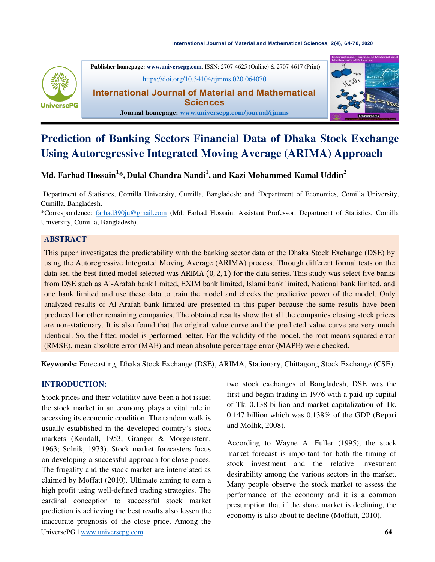#### **[International Journal of Material and Mathematical Sciences,](https://doi.org/10.34104/ijmms.020.064070) 2(4), 64-70, 2020**



**Publisher homepage[: www.universepg.com](http://www.universepg.com/)**, ISSN: 2707-4625 (Online) & 2707-4617 (Print) <https://doi.org/10.34104/ijmms.020.064070> **International Journal of Material and Mathematical** 

**Sciences** 



#### **Journal homepage: [www.universepg.com/journal/ijmms](http://www.universepg.com/journal/ijmms)**

# **Prediction of Banking Sectors Financial Data of Dhaka Stock Exchange Using Autoregressive Integrated Moving Average (ARIMA) Approach**

## **Md. Farhad Hossain<sup>1</sup> \*, Dulal Chandra Nandi<sup>1</sup> , and Kazi Mohammed Kamal Uddin<sup>2</sup>**

<sup>1</sup>Department of Statistics, Comilla University, Cumilla, Bangladesh; and <sup>2</sup>Department of Economics, Comilla University, Cumilla, Bangladesh.

\*Correspondence: [farhad390ju@gmail.com](mailto:farhad390ju@gmail.com) (Md. Farhad Hossain, Assistant Professor, Department of Statistics, Comilla University, Cumilla, Bangladesh).

## **ABSTRACT**

This paper investigates the predictability with the banking sector data of the Dhaka Stock Exchange (DSE) by using the Autoregressive Integrated Moving Average (ARIMA) process. Through different formal tests on the data set, the best-fitted model selected was ARIMA  $(0, 2, 1)$  for the data series. This study was select five banks from DSE such as Al-Arafah bank limited, EXIM bank limited, Islami bank limited, National bank limited, and one bank limited and use these data to train the model and checks the predictive power of the model. Only analyzed results of Al-Arafah bank limited are presented in this paper because the same results have been produced for other remaining companies. The obtained results show that all the companies closing stock prices are non-stationary. It is also found that the original value curve and the predicted value curve are very much identical. So, the fitted model is performed better. For the validity of the model, the root means squared error (RMSE), mean absolute error (MAE) and mean absolute percentage error (MAPE) were checked.

**Keywords:** Forecasting, Dhaka Stock Exchange (DSE), ARIMA, Stationary, Chittagong Stock Exchange (CSE).

## **INTRODUCTION:**

UniversePG l [www.universepg.com](http://www.universepg.com/) **64 64** Stock prices and their volatility have been a hot issue; the stock market in an economy plays a vital rule in accessing its economic condition. The random walk is usually established in the developed country's stock markets (Kendall, 1953; Granger & Morgenstern, 1963; Solnik, 1973). Stock market forecasters focus on developing a successful approach for close prices. The frugality and the stock market are interrelated as claimed by Moffatt (2010). Ultimate aiming to earn a high profit using well-defined trading strategies. The cardinal conception to successful stock market prediction is achieving the best results also lessen the inaccurate prognosis of the close price. Among the

two stock exchanges of Bangladesh, DSE was the first and began trading in 1976 with a paid-up capital of Tk. 0.138 billion and market capitalization of Tk. 0.147 billion which was 0.138% of the GDP (Bepari and Mollik, 2008).

According to Wayne A. Fuller (1995), the stock market forecast is important for both the timing of stock investment and the relative investment desirability among the various sectors in the market. Many people observe the stock market to assess the performance of the economy and it is a common presumption that if the share market is declining, the economy is also about to decline (Moffatt, 2010).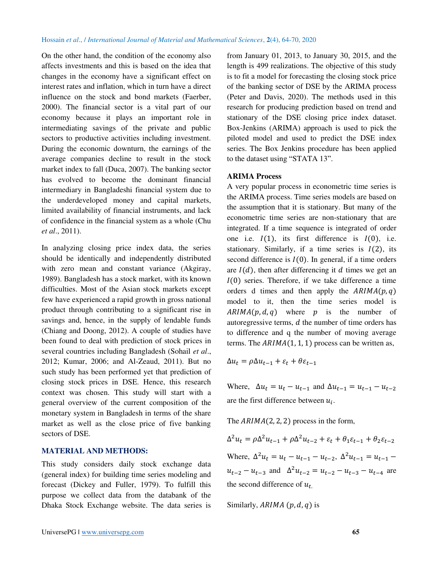On the other hand, the condition of the economy also affects investments and this is based on the idea that changes in the economy have a significant effect on interest rates and inflation, which in turn have a direct influence on the stock and bond markets (Faerber, 2000). The financial sector is a vital part of our economy because it plays an important role in intermediating savings of the private and public sectors to productive activities including investment. During the economic downturn, the earnings of the average companies decline to result in the stock market index to fall (Duca, 2007). The banking sector has evolved to become the dominant financial intermediary in Bangladeshi financial system due to the underdeveloped money and capital markets, limited availability of financial instruments, and lack of confidence in the financial system as a whole (Chu *et al*., 2011).

In analyzing closing price index data, the series should be identically and independently distributed with zero mean and constant variance (Akgiray, 1989). Bangladesh has a stock market, with its known difficulties. Most of the Asian stock markets except few have experienced a rapid growth in gross national product through contributing to a significant rise in savings and, hence, in the supply of lendable funds (Chiang and Doong, 2012). A couple of studies have been found to deal with prediction of stock prices in several countries including Bangladesh (Sohail *et al*., 2012; Kumar, 2006; and Al-Zeaud, 2011). But no such study has been performed yet that prediction of closing stock prices in DSE. Hence, this research context was chosen. This study will start with a general overview of the current composition of the monetary system in Bangladesh in terms of the share market as well as the close price of five banking sectors of DSE.

#### **MATERIAL AND METHODS:**

This study considers daily stock exchange data (general index) for building time series modeling and forecast (Dickey and Fuller, 1979). To fulfill this purpose we collect data from the databank of the Dhaka Stock Exchange website. The data series is from January 01, 2013, to January 30, 2015, and the length is 499 realizations. The objective of this study is to fit a model for forecasting the closing stock price of the banking sector of DSE by the ARIMA process (Peter and Davis, 2020). The methods used in this research for producing prediction based on trend and stationary of the DSE closing price index dataset. Box-Jenkins (ARIMA) approach is used to pick the piloted model and used to predict the DSE index series. The Box Jenkins procedure has been applied to the dataset using "STATA 13".

#### **ARIMA Process**

A very popular process in econometric time series is the ARIMA process. Time series models are based on the assumption that it is stationary. But many of the econometric time series are non-stationary that are integrated. If a time sequence is integrated of order one i.e.  $I(1)$ , its first difference is  $I(0)$ , i.e. stationary. Similarly, if a time series is  $I(2)$ , its second difference is  $I(0)$ . In general, if a time orders are  $I(d)$ , then after differencing it d times we get an  $I(0)$  series. Therefore, if we take difference a time orders d times and then apply the  $ARIMA(p, q)$ model to it, then the time series model is  $ARIMA(p, d, q)$  where p is the number of autoregressive terms,  $d$  the number of time orders has to difference and q the number of moving average terms. The  $ARIMA(1, 1, 1)$  process can be written as,

$$
\Delta u_t = \rho \Delta u_{t-1} + \varepsilon_t + \theta \varepsilon_{t-1}
$$

Where,  $\Delta u_t = u_t - u_{t-1}$  and  $\Delta u_{t-1} = u_{t-1} - u_{t-2}$ are the first difference between  $u_i$ .

The  $ARIMA(2, 2, 2)$  process in the form,

 $\Delta^2 u_t = \rho \Delta^2 u_{t-1} + \rho \Delta^2 u_{t-2} + \varepsilon_t + \theta_1 \varepsilon_{t-1} + \theta_2 \varepsilon_{t-2}$ Where,  $\Delta^2 u_t = u_t - u_{t-1} - u_{t-2}$ ,  $\Delta^2 u_{t-1} = u_{t-1} - u_{t-1}$  $u_{t-2} - u_{t-3}$  and  $\Delta^2 u_{t-2} = u_{t-2} - u_{t-3} - u_{t-4}$  are the second difference of  $u_t$ 

Similarly,  $ARIMA(p, d, q)$  is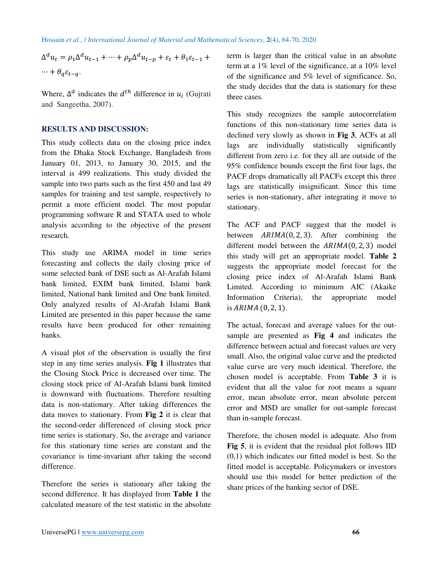$\Delta^d u_t = \rho_1 \Delta^d u_{t-1} + \dots + \rho_p \Delta^d u_{t-p} + \varepsilon_t + \theta_1 \varepsilon_{t-1} +$  $\cdots + \theta_a \varepsilon_{t-a}.$ 

Where,  $\Delta^d$  indicates the  $d^{th}$  difference in  $u_i$  (Gujrati and Sangeetha, 2007).

### **RESULTS AND DISCUSSION:**

This study collects data on the closing price index from the Dhaka Stock Exchange, Bangladesh from January 01, 2013, to January 30, 2015, and the interval is 499 realizations. This study divided the sample into two parts such as the first 450 and last 49 samples for training and test sample, respectively to permit a more efficient model. The most popular programming software R and STATA used to whole analysis according to the objective of the present research.

This study use ARIMA model in time series forecasting and collects the daily closing price of some selected bank of DSE such as Al-Arafah Islami bank limited, EXIM bank limited, Islami bank limited, National bank limited and One bank limited. Only analyzed results of Al-Arafah Islami Bank Limited are presented in this paper because the same results have been produced for other remaining banks.

A visual plot of the observation is usually the first step in any time series analysis. **Fig 1** illustrates that the Closing Stock Price is decreased over time. The closing stock price of Al-Arafah Islami bank limited is downward with fluctuations. Therefore resulting data is non-stationary. After taking differences the data moves to stationary. From **Fig 2** it is clear that the second-order differenced of closing stock price time series is stationary. So, the average and variance for this stationary time series are constant and the covariance is time-invariant after taking the second difference.

Therefore the series is stationary after taking the second difference. It has displayed from **Table 1** the calculated measure of the test statistic in the absolute term is larger than the critical value in an absolute term at a 1% level of the significance, at a 10% level of the significance and 5% level of significance. So, the study decides that the data is stationary for these three cases.

This study recognizes the sample autocorrelation functions of this non-stationary time series data is declined very slowly as shown in **Fig 3**, ACFs at all lags are individually statistically significantly different from zero i.e. for they all are outside of the 95% confidence bounds except the first four lags, the PACF drops dramatically all PACFs except this three lags are statistically insignificant. Since this time series is non-stationary, after integrating it move to stationary.

The ACF and PACF suggest that the model is between  $ARIMA(0, 2, 3)$ . After combining the different model between the  $ARIMA(0, 2, 3)$  model this study will get an appropriate model. **Table 2** suggests the appropriate model forecast for the closing price index of Al-Arafah Islami Bank Limited. According to minimum AIC (Akaike Information Criteria), the appropriate model is  $ARIMA (0, 2, 1)$ .

The actual, forecast and average values for the outsample are presented as **Fig 4** and indicates the difference between actual and forecast values are very small. Also, the original value curve and the predicted value curve are very much identical. Therefore, the chosen model is acceptable. From **Table 3** it is evident that all the value for root means a square error, mean absolute error, mean absolute percent error and MSD are smaller for out-sample forecast than in-sample forecast.

Therefore, the chosen model is adequate. Also from **Fig 5**, it is evident that the residual plot follows IID (0,1) which indicates our fitted model is best. So the fitted model is acceptable. Policymakers or investors should use this model for better prediction of the share prices of the banking sector of DSE.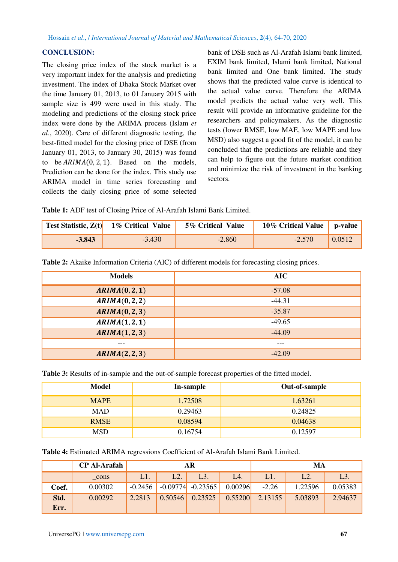## **CONCLUSION:**

The closing price index of the stock market is a very important index for the analysis and predicting investment. The index of Dhaka Stock Market over the time January 01, 2013, to 01 January 2015 with sample size is 499 were used in this study. The modeling and predictions of the closing stock price index were done by the ARIMA process (Islam *et al*., 2020). Care of different diagnostic testing, the best-fitted model for the closing price of DSE (from January 01, 2013, to January 30, 2015) was found to be  $ARIMA(0, 2, 1)$ . Based on the models, Prediction can be done for the index. This study use ARIMA model in time series forecasting and collects the daily closing price of some selected bank of DSE such as Al-Arafah Islami bank limited, EXIM bank limited, Islami bank limited, National bank limited and One bank limited. The study shows that the predicted value curve is identical to the actual value curve. Therefore the ARIMA model predicts the actual value very well. This result will provide an informative guideline for the researchers and policymakers. As the diagnostic tests (lower RMSE, low MAE, low MAPE and low MSD) also suggest a good fit of the model, it can be concluded that the predictions are reliable and they can help to figure out the future market condition and minimize the risk of investment in the banking sectors.

**Table 1:** ADF test of Closing Price of Al-Arafah Islami Bank Limited.

|          | <b>Test Statistic, <math>Z(t)</math></b> 1% Critical Value | 5% Critical Value | 10\% Critical Value   p-value |        |
|----------|------------------------------------------------------------|-------------------|-------------------------------|--------|
| $-3.843$ | $-3.430$                                                   | $-2.860$          | $-2.570$                      | 0.0512 |

**Table 2:** Akaike Information Criteria (AIC) of different models for forecasting closing prices.

| <b>Models</b> | AIC      |
|---------------|----------|
| ARIMA(0,2,1)  | $-57.08$ |
| ARIMA(0,2,2)  | $-44.31$ |
| ARIMA(0,2,3)  | $-35.87$ |
| ARIMA(1,2,1)  | $-49.65$ |
| ARIMA(1,2,3)  | $-44.09$ |
| ---           | ---      |
| ARIMA(2,2,3)  | $-42.09$ |

**Table 3:** Results of in-sample and the out-of-sample forecast properties of the fitted model.

| Model       | In-sample | Out-of-sample |  |  |
|-------------|-----------|---------------|--|--|
| <b>MAPE</b> | 1.72508   | 1.63261       |  |  |
| <b>MAD</b>  | 0.29463   | 0.24825       |  |  |
| <b>RMSE</b> | 0.08594   | 0.04638       |  |  |
| MSD         | 0.16754   | 0.12597       |  |  |

**Table 4:** Estimated ARIMA regressions Coefficient of Al-Arafah Islami Bank Limited.

|       | <b>CP Al-Arafah</b> | AR        |         |                       | MA      |         |         |         |
|-------|---------------------|-----------|---------|-----------------------|---------|---------|---------|---------|
|       | cons                | L1.       | L2.     | L3.                   | L4.     | L1.     | $L2$ .  | $L3$ .  |
| Coef. | 0.00302             | $-0.2456$ |         | $-0.09774$ $-0.23565$ | 0.00296 | $-2.26$ | 1.22596 | 0.05383 |
| Std.  | 0.00292             | 2.2813    | 0.50546 | 0.23525               | 0.55200 | 2.13155 | 5.03893 | 2.94637 |
| Err.  |                     |           |         |                       |         |         |         |         |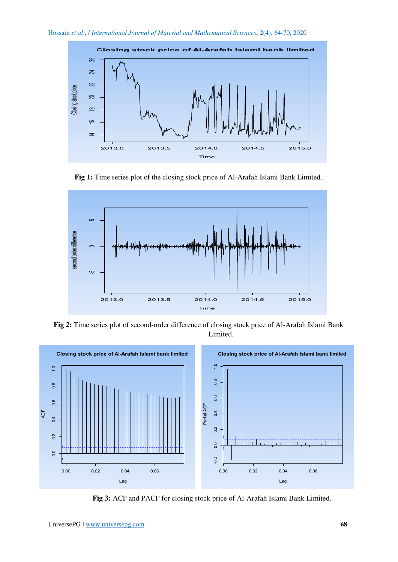

**Fig 1:** Time series plot of the closing stock price of Al-Arafah Islami Bank Limited.



**Fig 2:** Time series plot of second-order difference of closing stock price of Al-Arafah Islami Bank Limited.



**Fig 3:** ACF and PACF for closing stock price of Al-Arafah Islami Bank Limited.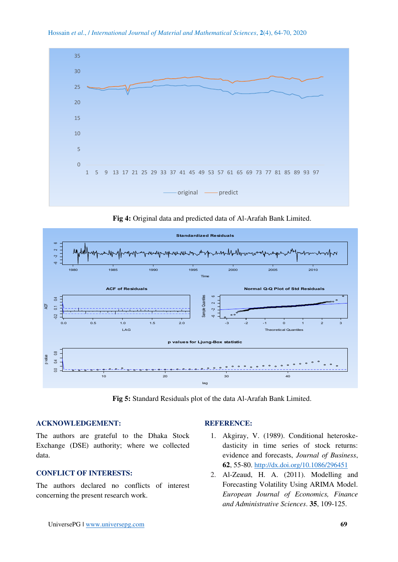

Hossain *et al*., / *International Journal of Material and Mathematical Sciences*, **2**(4), 64-70, 2020

**Fig 4:** Original data and predicted data of Al-Arafah Bank Limited.



**Fig 5:** Standard Residuals plot of the data Al-Arafah Bank Limited.

#### **ACKNOWLEDGEMENT:**

The authors are grateful to the Dhaka Stock Exchange (DSE) authority; where we collected data.

## **CONFLICT OF INTERESTS:**

The authors declared no conflicts of interest concerning the present research work.

#### **REFERENCE:**

- 1. Akgiray, V. (1989). Conditional heteroskedasticity in time series of stock returns: evidence and forecasts, *Journal of Business*, **62**, 55-80. <http://dx.doi.org/10.1086/296451>
- 2. Al-Zeaud, H. A. (2011). Modelling and Forecasting Volatility Using ARIMA Model. *European Journal of Economics, Finance and Administrative Sciences*. **35**, 109-125.